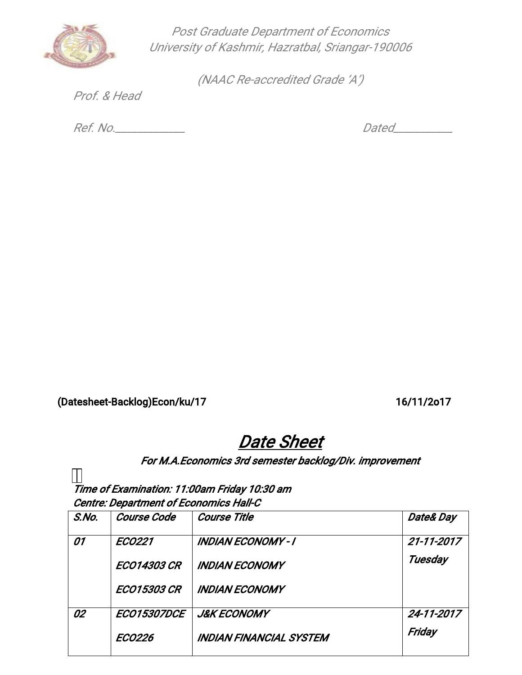

Post Graduate Department of Economics University of Kashmir, Hazratbal, Sriangar-190006

(NAAC Re-accredited Grade 'A')

Prof.&Head

Ref.No.\_\_\_\_\_\_\_\_\_\_\_\_\_ Dated\_\_\_\_\_\_\_\_\_\_\_

(Datesheet-Backlog)Econ/ku/17 16/11/2o17

## Date Sheet

## For M.A.Economics 3rd semester backlog/Div. improvement

Time of Examination: 11:00am Friday 10:30 am Centre: Department of Economics Hall-C

| S.No. | <b>Course Code</b> | <b>Course Title</b>            | Date& Day  |
|-------|--------------------|--------------------------------|------------|
| 01    | <b>ECO221</b>      | <b>INDIAN ECONOMY - I</b>      | 21-11-2017 |
|       | <b>ECO14303 CR</b> | <b>INDIAN ECONOMY</b>          | Tuesday    |
|       | <b>ECO15303 CR</b> | <b>INDIAN ECONOMY</b>          |            |
| 02    | <b>ECO15307DCE</b> | <b>J&amp;K ECONOMY</b>         | 24-11-2017 |
|       | <b>ECO226</b>      | <b>INDIAN FINANCIAL SYSTEM</b> | Friday     |